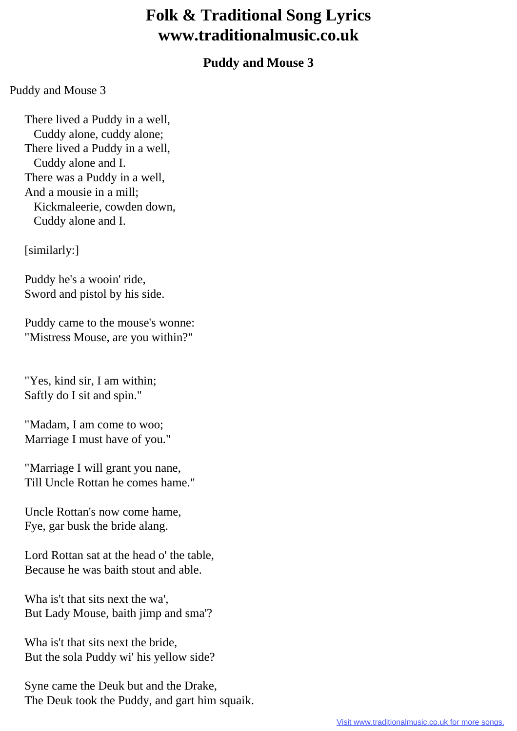## **Folk & Traditional Song Lyrics www.traditionalmusic.co.uk**

## **Puddy and Mouse 3**

Puddy and Mouse 3

 There lived a Puddy in a well, Cuddy alone, cuddy alone; There lived a Puddy in a well, Cuddy alone and I. There was a Puddy in a well, And a mousie in a mill; Kickmaleerie, cowden down, Cuddy alone and I.

[similarly:]

 Puddy he's a wooin' ride, Sword and pistol by his side.

 Puddy came to the mouse's wonne: "Mistress Mouse, are you within?"

 "Yes, kind sir, I am within; Saftly do I sit and spin."

 "Madam, I am come to woo; Marriage I must have of you."

 "Marriage I will grant you nane, Till Uncle Rottan he comes hame."

 Uncle Rottan's now come hame, Fye, gar busk the bride alang.

 Lord Rottan sat at the head o' the table, Because he was baith stout and able.

 Wha is't that sits next the wa', But Lady Mouse, baith jimp and sma'?

 Wha is't that sits next the bride, But the sola Puddy wi' his yellow side?

 Syne came the Deuk but and the Drake, The Deuk took the Puddy, and gart him squaik.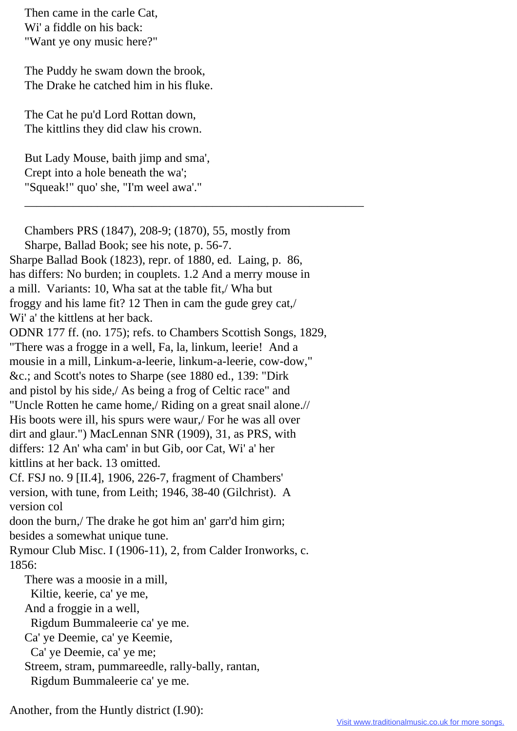Then came in the carle Cat, Wi' a fiddle on his back: "Want ye ony music here?"

 The Puddy he swam down the brook, The Drake he catched him in his fluke.

 The Cat he pu'd Lord Rottan down, The kittlins they did claw his crown.

 But Lady Mouse, baith jimp and sma', Crept into a hole beneath the wa'; "Squeak!" quo' she, "I'm weel awa'."

 Chambers PRS (1847), 208-9; (1870), 55, mostly from Sharpe, Ballad Book; see his note, p. 56-7. Sharpe Ballad Book (1823), repr. of 1880, ed. Laing, p. 86, has differs: No burden; in couplets. 1.2 And a merry mouse in a mill. Variants: 10, Wha sat at the table fit,/ Wha but froggy and his lame fit? 12 Then in cam the gude grey cat,/ Wi' a' the kittlens at her back. ODNR 177 ff. (no. 175); refs. to Chambers Scottish Songs, 1829, "There was a frogge in a well, Fa, la, linkum, leerie! And a mousie in a mill, Linkum-a-leerie, linkum-a-leerie, cow-dow," &c.; and Scott's notes to Sharpe (see 1880 ed., 139: "Dirk and pistol by his side,/ As being a frog of Celtic race" and "Uncle Rotten he came home,/ Riding on a great snail alone.// His boots were ill, his spurs were waur,/ For he was all over dirt and glaur.") MacLennan SNR (1909), 31, as PRS, with differs: 12 An' wha cam' in but Gib, oor Cat, Wi' a' her kittlins at her back. 13 omitted. Cf. FSJ no. 9 [II.4], 1906, 226-7, fragment of Chambers' version, with tune, from Leith; 1946, 38-40 (Gilchrist). A version col doon the burn,/ The drake he got him an' garr'd him girn; besides a somewhat unique tune. Rymour Club Misc. I (1906-11), 2, from Calder Ironworks, c. 1856: There was a moosie in a mill, Kiltie, keerie, ca' ye me, And a froggie in a well, Rigdum Bummaleerie ca' ye me. Ca' ye Deemie, ca' ye Keemie, Ca' ye Deemie, ca' ye me; Streem, stram, pummareedle, rally-bally, rantan, Rigdum Bummaleerie ca' ye me.

\_\_\_\_\_\_\_\_\_\_\_\_\_\_\_\_\_\_\_\_\_\_\_\_\_\_\_\_\_\_\_\_\_\_\_\_\_\_\_\_\_\_\_\_\_\_\_\_\_\_\_\_\_\_\_\_

Another, from the Huntly district (I.90):